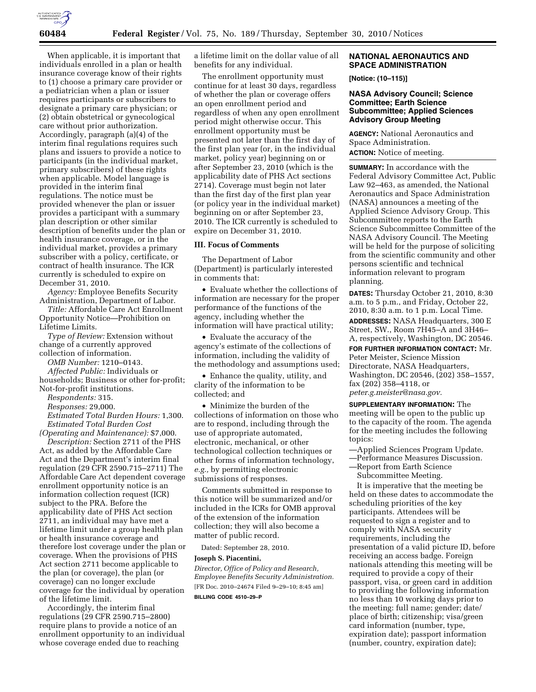

When applicable, it is important that individuals enrolled in a plan or health insurance coverage know of their rights to (1) choose a primary care provider or a pediatrician when a plan or issuer requires participants or subscribers to designate a primary care physician; or (2) obtain obstetrical or gynecological care without prior authorization. Accordingly, paragraph (a)(4) of the interim final regulations requires such plans and issuers to provide a notice to participants (in the individual market, primary subscribers) of these rights when applicable. Model language is provided in the interim final regulations. The notice must be provided whenever the plan or issuer provides a participant with a summary plan description or other similar description of benefits under the plan or health insurance coverage, or in the individual market, provides a primary subscriber with a policy, certificate, or contract of health insurance. The ICR currently is scheduled to expire on December 31, 2010.

*Agency:* Employee Benefits Security Administration, Department of Labor.

*Title:* Affordable Care Act Enrollment Opportunity Notice—Prohibition on Lifetime Limits.

*Type of Review:* Extension without change of a currently approved collection of information.

*OMB Number:* 1210–0143.

*Affected Public:* Individuals or households; Business or other for-profit; Not-for-profit institutions.

*Respondents:* 315.

*Responses:* 29,000.

*Estimated Total Burden Hours:* 1,300. *Estimated Total Burden Cost* 

*(Operating and Maintenance):* \$7,000. *Description:* Section 2711 of the PHS Act, as added by the Affordable Care Act and the Department's interim final regulation (29 CFR 2590.715–2711) The Affordable Care Act dependent coverage enrollment opportunity notice is an information collection request (ICR) subject to the PRA. Before the applicability date of PHS Act section 2711, an individual may have met a lifetime limit under a group health plan or health insurance coverage and therefore lost coverage under the plan or coverage. When the provisions of PHS Act section 2711 become applicable to the plan (or coverage), the plan (or coverage) can no longer exclude coverage for the individual by operation of the lifetime limit.

Accordingly, the interim final regulations (29 CFR 2590.715–2800) require plans to provide a notice of an enrollment opportunity to an individual whose coverage ended due to reaching

a lifetime limit on the dollar value of all benefits for any individual.

The enrollment opportunity must continue for at least 30 days, regardless of whether the plan or coverage offers an open enrollment period and regardless of when any open enrollment period might otherwise occur. This enrollment opportunity must be presented not later than the first day of the first plan year (or, in the individual market, policy year) beginning on or after September 23, 2010 (which is the applicability date of PHS Act sections 2714). Coverage must begin not later than the first day of the first plan year (or policy year in the individual market) beginning on or after September 23, 2010. The ICR currently is scheduled to expire on December 31, 2010.

# **III. Focus of Comments**

The Department of Labor (Department) is particularly interested in comments that:

• Evaluate whether the collections of information are necessary for the proper performance of the functions of the agency, including whether the information will have practical utility;

• Evaluate the accuracy of the agency's estimate of the collections of information, including the validity of the methodology and assumptions used;

• Enhance the quality, utility, and clarity of the information to be collected; and

• Minimize the burden of the collections of information on those who are to respond, including through the use of appropriate automated, electronic, mechanical, or other technological collection techniques or other forms of information technology, *e.g.,* by permitting electronic submissions of responses.

Comments submitted in response to this notice will be summarized and/or included in the ICRs for OMB approval of the extension of the information collection; they will also become a matter of public record.

Dated: September 28, 2010.

# **Joseph S. Piacentini,**

*Director, Office of Policy and Research, Employee Benefits Security Administration.*  [FR Doc. 2010–24674 Filed 9–29–10; 8:45 am]

**BILLING CODE 4510–29–P** 

# **NATIONAL AERONAUTICS AND SPACE ADMINISTRATION**

**[Notice: (10–115)]** 

## **NASA Advisory Council; Science Committee; Earth Science Subcommittee; Applied Sciences Advisory Group Meeting**

**AGENCY:** National Aeronautics and Space Administration. **ACTION:** Notice of meeting.

**SUMMARY:** In accordance with the Federal Advisory Committee Act, Public Law 92–463, as amended, the National Aeronautics and Space Administration (NASA) announces a meeting of the Applied Science Advisory Group. This Subcommittee reports to the Earth Science Subcommittee Committee of the NASA Advisory Council. The Meeting will be held for the purpose of soliciting from the scientific community and other persons scientific and technical information relevant to program planning.

**DATES:** Thursday October 21, 2010, 8:30 a.m. to 5 p.m., and Friday, October 22, 2010, 8:30 a.m. to 1 p.m. Local Time.

**ADDRESSES:** NASA Headquarters, 300 E Street, SW., Room 7H45–A and 3H46– A, respectively, Washington, DC 20546.

**FOR FURTHER INFORMATION CONTACT:** Mr. Peter Meister, Science Mission Directorate, NASA Headquarters, Washington, DC 20546, (202) 358–1557, fax (202) 358–4118, or *[peter.g.meister@nasa.gov.](mailto:peter.g.meister@nasa.gov)* 

**SUPPLEMENTARY INFORMATION:** The meeting will be open to the public up to the capacity of the room. The agenda for the meeting includes the following topics:

—Applied Sciences Program Update.

—Performance Measures Discussion.

—Report from Earth Science

Subcommittee Meeting.

It is imperative that the meeting be held on these dates to accommodate the scheduling priorities of the key participants. Attendees will be requested to sign a register and to comply with NASA security requirements, including the presentation of a valid picture ID, before receiving an access badge. Foreign nationals attending this meeting will be required to provide a copy of their passport, visa, or green card in addition to providing the following information no less than 10 working days prior to the meeting: full name; gender; date/ place of birth; citizenship; visa/green card information (number, type, expiration date); passport information (number, country, expiration date);